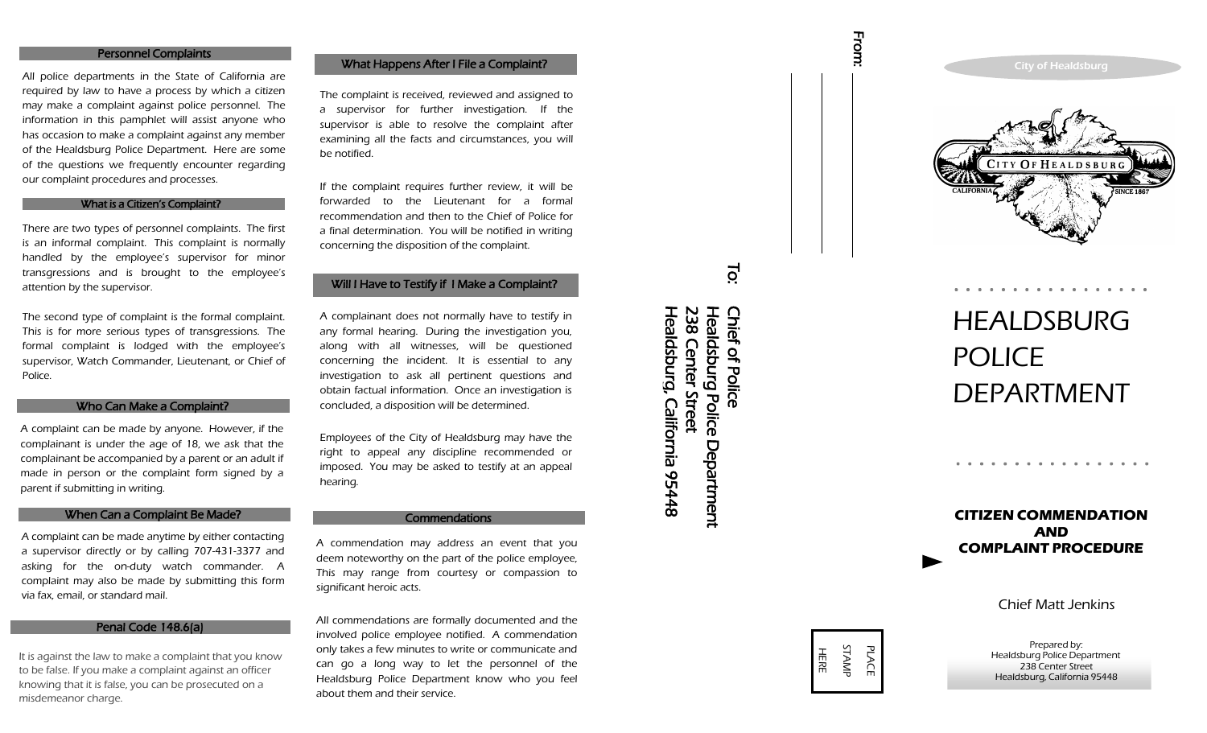#### **Personnel Complaints**

All police departments in the State of California are required by law to have a process by which a citizen may make a complaint against police personnel. The information in this pamphlet will assist anyone who has occasion to make a complaint against any member of the Healdsburg Police Department. Here are some of the questions we frequently encounter regarding our complaint procedures and processes.

#### What is a Citizen's Complaint?

There are two types of personnel complaints. The first is an informal complaint. This complaint is normally handled by the employee's supervisor for minor transgressions and is brought to the employee's attention by the supervisor.

The second type of complaint is the formal complaint. This is for more serious types of transgressions. The formal complaint is lodged with the employee's supervisor, Watch Commander, Lieutenant, or Chief of Police.

#### **Example 18 Who Can Make a Complaint?**

A complaint can be made by anyone. However, if the complainant is under the age of 18, we ask that the complainant be accompanied by a parent or an adult if made in person or the complaint form signed by a parent if submitting in writing.

#### **Example 10 When Can a Complaint Be Made?**

A complaint can be made anytime by either contacting a supervisor directly or by calling 707 -431 -3377 and asking for the on -duty watch commander. A complaint may also be made by submitting this form via fax, email, or standard mail.

### Penal Code 148.6(a)

It is against the law to make a complaint that you know to be false. If you make a complaint against an officer knowing that it is false, you can be prosecuted on a misdemeanor charge.

## What Happens After I File a

The complaint is received, reviewed and assigned to a supervisor for further investigation. If the supervisor is able to resolve the complaint after examining all the facts and circumstances, you will be notified.

If the complaint requires further review, it will be forwarded to the Lieutenant for a formal recommendation and then to the Chief of Police for a final determination. You will be notified in writing concerning the disposition of the complaint.

#### Will I Have to Testify if I Make a Complaint?

A complainant does not normally have to testify in any formal hearing. During the investigation you, along with all witnesses, will be questioned concerning the incident. It is essential to any investigation to ask all pertinent questions and obtain factual information. Once an investigation is concluded, a disposition will be determined.

Employees of the City of Healdsburg may have the right to appeal any discipline recommended or imposed. You may be asked to testify at an appeal hearing.

#### **Commendations**

A commendation may address an event that you deem noteworthy on the part of the police employee, This may range from courtesy or compassion to significant heroic acts.

All commendations are formally documented and the involved police employee notified. A commendation only takes a few minutes to write or communicate and can go a long way to let the personnel of the Healdsburg Police Department know who you feel about them and their service.





# **HEALDSBURG** POLICE DEPARTMENT

. . . . . . . . . . . . . .

**CITIZEN COMMENDATION AND COMPLAINT PROCEDURE**

. . . . . . . . . . . . . . . .

Chief Matt Jenkins

Prepared by: Healdsburg Police Department 238 Center Street Healdsburg, California 95448